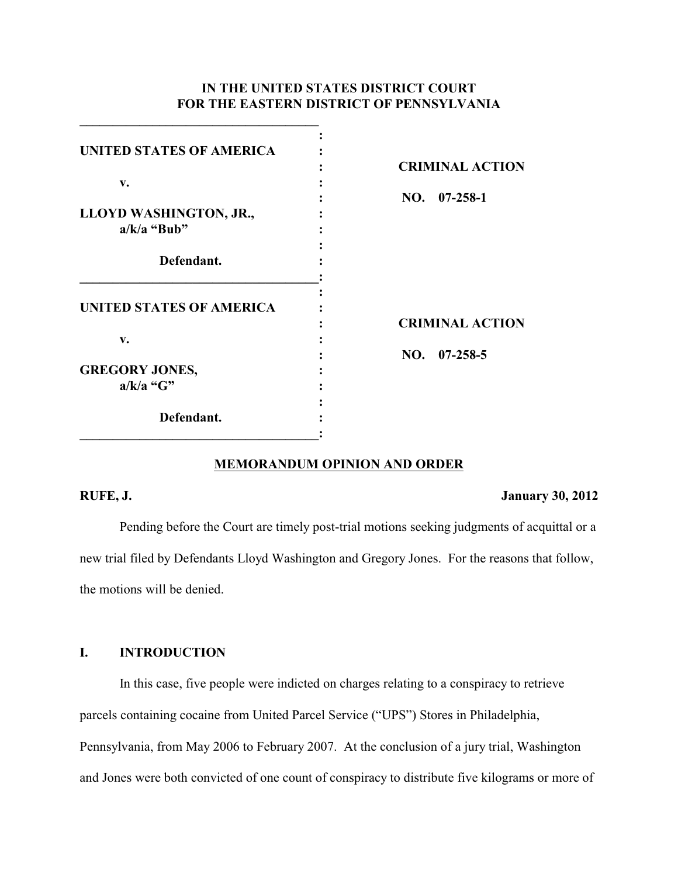## **IN THE UNITED STATES DISTRICT COURT FOR THE EASTERN DISTRICT OF PENNSYLVANIA**

| <b>UNITED STATES OF AMERICA</b> |                        |
|---------------------------------|------------------------|
|                                 | <b>CRIMINAL ACTION</b> |
| v.                              |                        |
|                                 | $NO.$ $07-258-1$       |
| LLOYD WASHINGTON, JR.,          |                        |
| $a/k/a$ "Bub"                   |                        |
|                                 |                        |
| Defendant.                      |                        |
|                                 |                        |
|                                 |                        |
| <b>UNITED STATES OF AMERICA</b> |                        |
|                                 | <b>CRIMINAL ACTION</b> |
| v.                              | $NO.$ 07-258-5         |
| <b>GREGORY JONES,</b>           |                        |
|                                 |                        |
| $a/k/a$ "G"                     |                        |
| Defendant.                      |                        |
|                                 |                        |
|                                 |                        |

**\_\_\_\_\_\_\_\_\_\_\_\_\_\_\_\_\_\_\_\_\_\_\_\_\_\_\_\_\_\_\_\_\_\_\_\_**

# **MEMORANDUM OPINION AND ORDER**

#### **RUFE, J. January 30, 2012**

Pending before the Court are timely post-trial motions seeking judgments of acquittal or a new trial filed by Defendants Lloyd Washington and Gregory Jones. For the reasons that follow, the motions will be denied.

## **I. INTRODUCTION**

In this case, five people were indicted on charges relating to a conspiracy to retrieve parcels containing cocaine from United Parcel Service ("UPS") Stores in Philadelphia, Pennsylvania, from May 2006 to February 2007. At the conclusion of a jury trial, Washington and Jones were both convicted of one count of conspiracy to distribute five kilograms or more of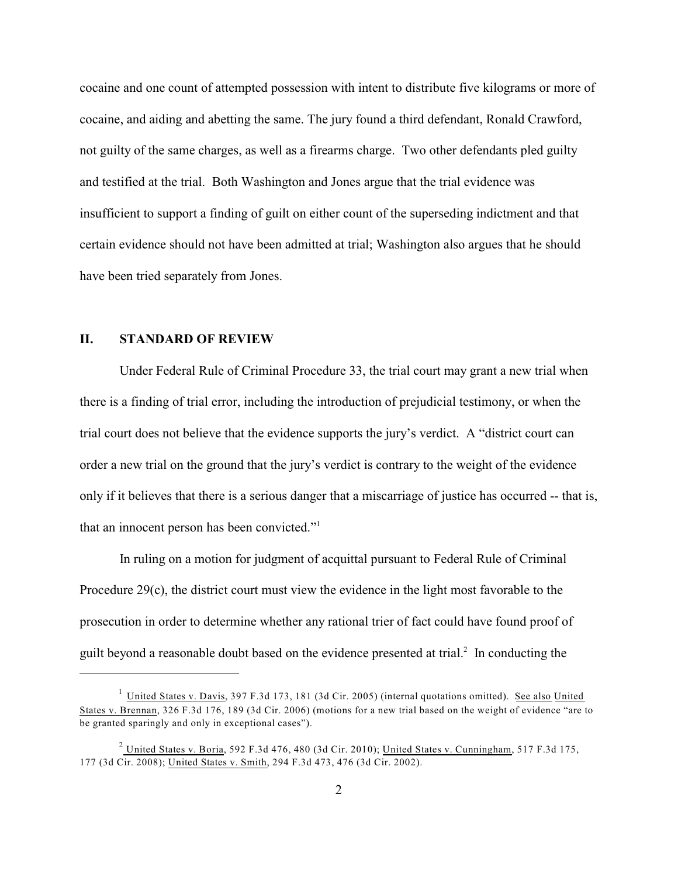cocaine and one count of attempted possession with intent to distribute five kilograms or more of cocaine, and aiding and abetting the same. The jury found a third defendant, Ronald Crawford, not guilty of the same charges, as well as a firearms charge. Two other defendants pled guilty and testified at the trial. Both Washington and Jones argue that the trial evidence was insufficient to support a finding of guilt on either count of the superseding indictment and that certain evidence should not have been admitted at trial; Washington also argues that he should have been tried separately from Jones.

#### **II. STANDARD OF REVIEW**

Under Federal Rule of Criminal Procedure 33, the trial court may grant a new trial when there is a finding of trial error, including the introduction of prejudicial testimony, or when the trial court does not believe that the evidence supports the jury's verdict. A "district court can order a new trial on the ground that the jury's verdict is contrary to the weight of the evidence only if it believes that there is a serious danger that a miscarriage of justice has occurred -- that is, that an innocent person has been convicted."<sup>1</sup>

In ruling on a motion for judgment of acquittal pursuant to Federal Rule of Criminal Procedure 29(c), the district court must view the evidence in the light most favorable to the prosecution in order to determine whether any rational trier of fact could have found proof of guilt beyond a reasonable doubt based on the evidence presented at trial. $<sup>2</sup>$  In conducting the</sup>

 $\frac{1}{1}$  United States v. Davis, 397 F.3d 173, 181 (3d Cir. 2005) (internal quotations omitted). See also United States v. Brennan, 326 F.3d 176, 189 (3d Cir. 2006) (motions for a new trial based on the weight of evidence "are to be granted sparingly and only in exceptional cases").

 $^2$  United States v. Boria, 592 F.3d 476, 480 (3d Cir. 2010); United States v. Cunningham, 517 F.3d 175, 177 (3d Cir. 2008); United States v. Smith, 294 F.3d 473, 476 (3d Cir. 2002).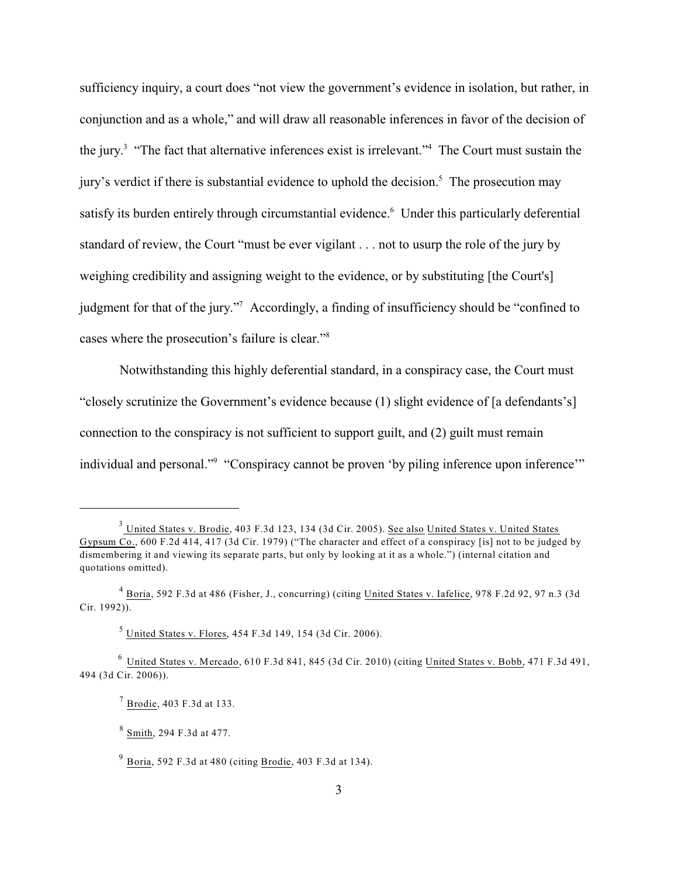sufficiency inquiry, a court does "not view the government's evidence in isolation, but rather, in conjunction and as a whole," and will draw all reasonable inferences in favor of the decision of the jury.<sup>3</sup> "The fact that alternative inferences exist is irrelevant." The Court must sustain the jury's verdict if there is substantial evidence to uphold the decision.<sup>5</sup> The prosecution may satisfy its burden entirely through circumstantial evidence.<sup>6</sup> Under this particularly deferential standard of review, the Court "must be ever vigilant . . . not to usurp the role of the jury by weighing credibility and assigning weight to the evidence, or by substituting [the Court's] judgment for that of the jury."<sup>7</sup> Accordingly, a finding of insufficiency should be "confined to cases where the prosecution's failure is clear."<sup>8</sup>

Notwithstanding this highly deferential standard, in a conspiracy case, the Court must "closely scrutinize the Government's evidence because (1) slight evidence of [a defendants's] connection to the conspiracy is not sufficient to support guilt, and (2) guilt must remain individual and personal."<sup>9</sup> "Conspiracy cannot be proven 'by piling inference upon inference'"

 $^3$  United States v. Brodie, 403 F.3d 123, 134 (3d Cir. 2005). See also United States v. United States Gypsum Co., 600 F.2d 414, 417 (3d Cir. 1979) ("The character and effect of a conspiracy [is] not to be judged by dismembering it and viewing its separate parts, but only by looking at it as a whole.") (internal citation and quotations omitted).

 $4\overline{Boria}$ , 592 F.3d at 486 (Fisher, J., concurring) (citing United States v. Iafelice, 978 F.2d 92, 97 n.3 (3d) Cir. 1992)).

 $<sup>5</sup>$  United States v. Flores, 454 F.3d 149, 154 (3d Cir. 2006).</sup>

 $6$  United States v. Mercado, 610 F.3d 841, 845 (3d Cir. 2010) (citing United States v. Bobb, 471 F.3d 491, 494 (3d Cir. 2006)).

 $\frac{7}{1}$  Brodie, 403 F.3d at 133.

 $8 \text{ Smith}$ , 294 F.3d at 477.

 $9\overline{B}$  Boria, 592 F.3d at 480 (citing  $B$ rodie, 403 F.3d at 134).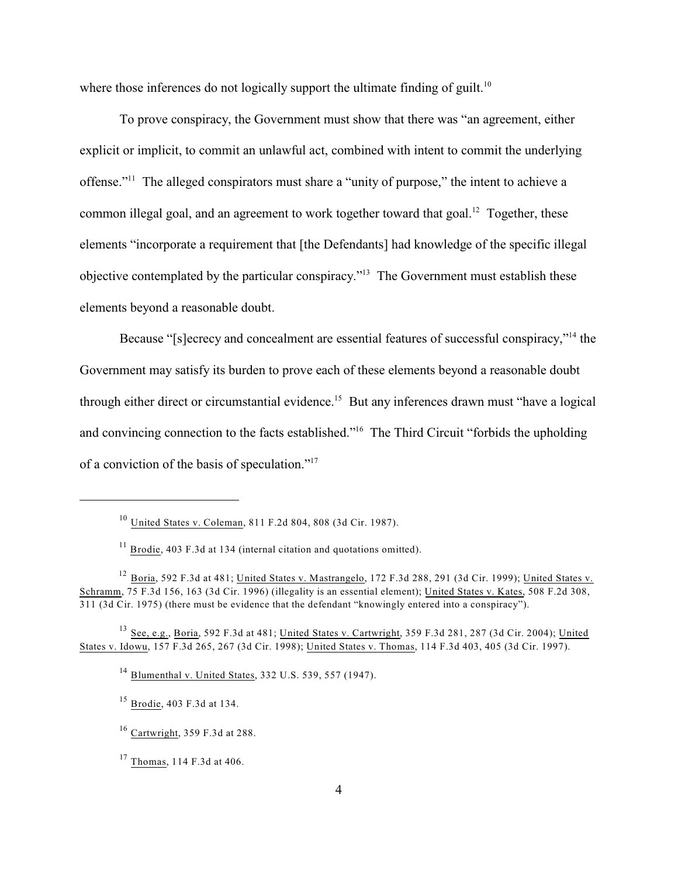where those inferences do not logically support the ultimate finding of guilt.<sup>10</sup>

To prove conspiracy, the Government must show that there was "an agreement, either explicit or implicit, to commit an unlawful act, combined with intent to commit the underlying offense."<sup>11</sup> The alleged conspirators must share a "unity of purpose," the intent to achieve a common illegal goal, and an agreement to work together toward that goal.<sup>12</sup> Together, these elements "incorporate a requirement that [the Defendants] had knowledge of the specific illegal objective contemplated by the particular conspiracy."<sup>13</sup> The Government must establish these elements beyond a reasonable doubt.

Because "[s]ecrecy and concealment are essential features of successful conspiracy,"<sup>14</sup> the Government may satisfy its burden to prove each of these elements beyond a reasonable doubt through either direct or circumstantial evidence.<sup>15</sup> But any inferences drawn must "have a logical and convincing connection to the facts established."<sup>16</sup> The Third Circuit "forbids the upholding of a conviction of the basis of speculation."<sup>17</sup>

 $10$  United States v. Coleman, 811 F.2d 804, 808 (3d Cir. 1987).

 $\frac{11}{11}$  Brodie, 403 F.3d at 134 (internal citation and quotations omitted).

<sup>&</sup>lt;sup>12</sup> Boria, 592 F.3d at 481; United States v. Mastrangelo, 172 F.3d 288, 291 (3d Cir. 1999); United States v. Schramm, 75 F.3d 156, 163 (3d Cir. 1996) (illegality is an essential element); United States v. Kates, 508 F.2d 308, 311 (3d Cir. 1975) (there must be evidence that the defendant "knowingly entered into a conspiracy").

<sup>&</sup>lt;sup>13</sup> See, e.g., Boria, 592 F.3d at 481; United States v. Cartwright, 359 F.3d 281, 287 (3d Cir. 2004); United States v. Idowu, 157 F.3d 265, 267 (3d Cir. 1998); United States v. Thomas, 114 F.3d 403, 405 (3d Cir. 1997).

<sup>&</sup>lt;sup>14</sup> Blumenthal v. United States, 332 U.S. 539, 557 (1947).

<sup>&</sup>lt;sup>15</sup> Brodie, 403 F.3d at 134.

 $16$  Cartwright, 359 F.3d at 288.

 $17$  Thomas, 114 F.3d at 406.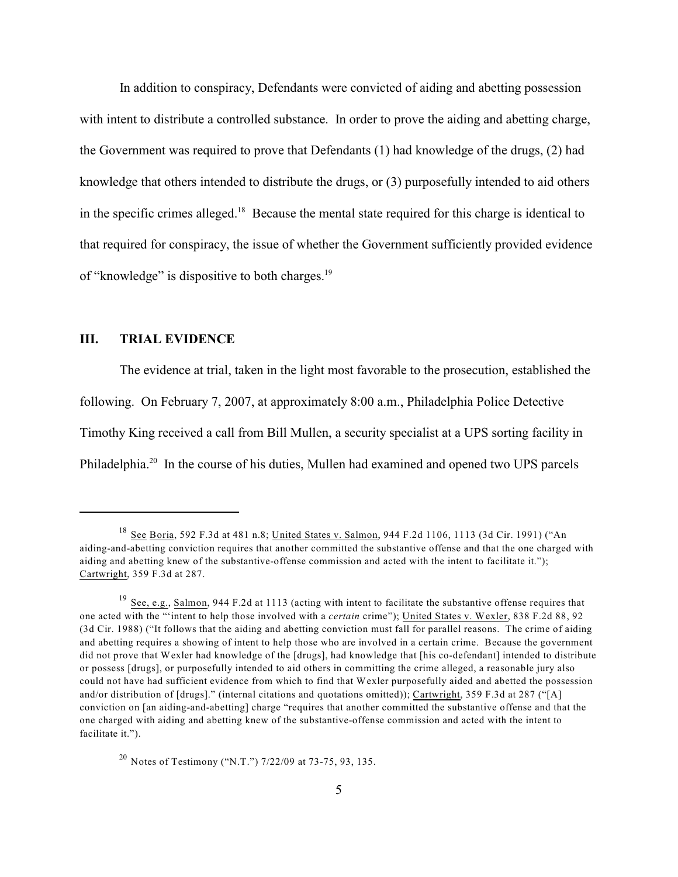In addition to conspiracy, Defendants were convicted of aiding and abetting possession with intent to distribute a controlled substance. In order to prove the aiding and abetting charge, the Government was required to prove that Defendants (1) had knowledge of the drugs, (2) had knowledge that others intended to distribute the drugs, or (3) purposefully intended to aid others in the specific crimes alleged.<sup>18</sup> Because the mental state required for this charge is identical to that required for conspiracy, the issue of whether the Government sufficiently provided evidence of "knowledge" is dispositive to both charges.<sup>19</sup>

## **III. TRIAL EVIDENCE**

The evidence at trial, taken in the light most favorable to the prosecution, established the following. On February 7, 2007, at approximately 8:00 a.m., Philadelphia Police Detective Timothy King received a call from Bill Mullen, a security specialist at a UPS sorting facility in Philadelphia.<sup>20</sup> In the course of his duties, Mullen had examined and opened two UPS parcels

<sup>20</sup> Notes of Testimony ("N.T.")  $7/22/09$  at 73-75, 93, 135.

<sup>&</sup>lt;sup>18</sup> See Boria, 592 F.3d at 481 n.8; United States v. Salmon, 944 F.2d 1106, 1113 (3d Cir. 1991) ("An aiding-and-abetting conviction requires that another committed the substantive offense and that the one charged with aiding and abetting knew of the substantive-offense commission and acted with the intent to facilitate it."); Cartwright, 359 F.3d at 287.

 $19$  See, e.g., Salmon, 944 F.2d at 1113 (acting with intent to facilitate the substantive offense requires that one acted with the "'intent to help those involved with a *certain* crime"); United States v. Wexler, 838 F.2d 88, 92 (3d Cir. 1988) ("It follows that the aiding and abetting conviction must fall for parallel reasons. The crime of aiding and abetting requires a showing of intent to help those who are involved in a certain crime. Because the government did not prove that Wexler had knowledge of the [drugs], had knowledge that [his co-defendant] intended to distribute or possess [drugs], or purposefully intended to aid others in committing the crime alleged, a reasonable jury also could not have had sufficient evidence from which to find that Wexler purposefully aided and abetted the possession and/or distribution of [drugs]." (internal citations and quotations omitted)); Cartwright, 359 F.3d at 287 ("[A] conviction on [an aiding-and-abetting] charge "requires that another committed the substantive offense and that the one charged with aiding and abetting knew of the substantive-offense commission and acted with the intent to facilitate it.").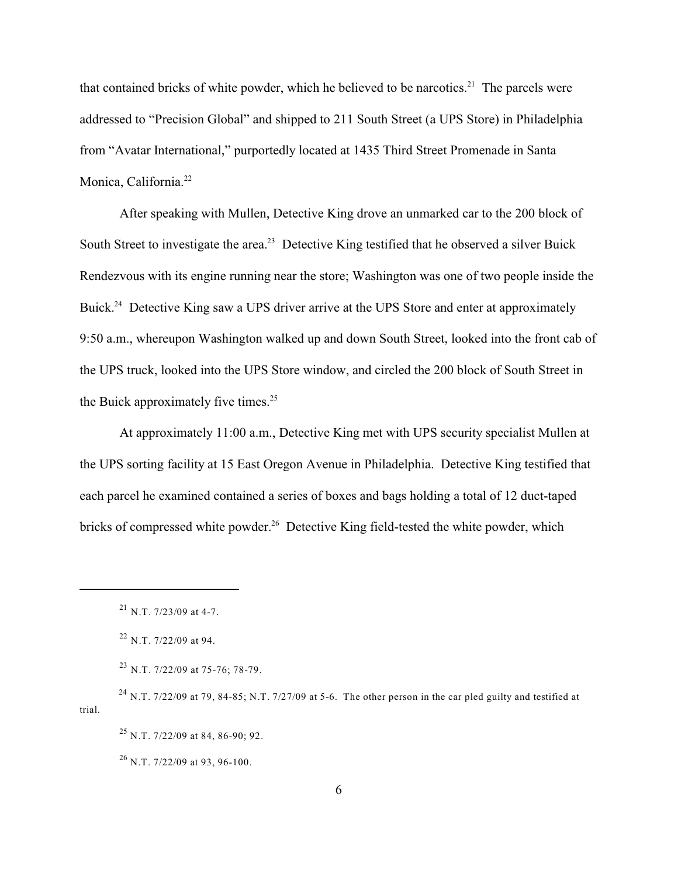that contained bricks of white powder, which he believed to be narcotics.<sup>21</sup> The parcels were addressed to "Precision Global" and shipped to 211 South Street (a UPS Store) in Philadelphia from "Avatar International," purportedly located at 1435 Third Street Promenade in Santa Monica, California. 22

After speaking with Mullen, Detective King drove an unmarked car to the 200 block of South Street to investigate the area.<sup>23</sup> Detective King testified that he observed a silver Buick Rendezvous with its engine running near the store; Washington was one of two people inside the Buick.<sup>24</sup> Detective King saw a UPS driver arrive at the UPS Store and enter at approximately 9:50 a.m., whereupon Washington walked up and down South Street, looked into the front cab of the UPS truck, looked into the UPS Store window, and circled the 200 block of South Street in the Buick approximately five times. $25$ 

At approximately 11:00 a.m., Detective King met with UPS security specialist Mullen at the UPS sorting facility at 15 East Oregon Avenue in Philadelphia. Detective King testified that each parcel he examined contained a series of boxes and bags holding a total of 12 duct-taped bricks of compressed white powder.<sup>26</sup> Detective King field-tested the white powder, which

 $^{21}$  N.T. 7/23/09 at 4-7.

 $^{22}$  N.T. 7/22/09 at 94.

 $^{23}$  N.T. 7/22/09 at 75-76; 78-79.

<sup>&</sup>lt;sup>24</sup> N.T. 7/22/09 at 79, 84-85; N.T. 7/27/09 at 5-6. The other person in the car pled guilty and testified at trial.

 $^{25}$  N.T. 7/22/09 at 84, 86-90; 92.

 $^{26}$  N.T. 7/22/09 at 93, 96-100.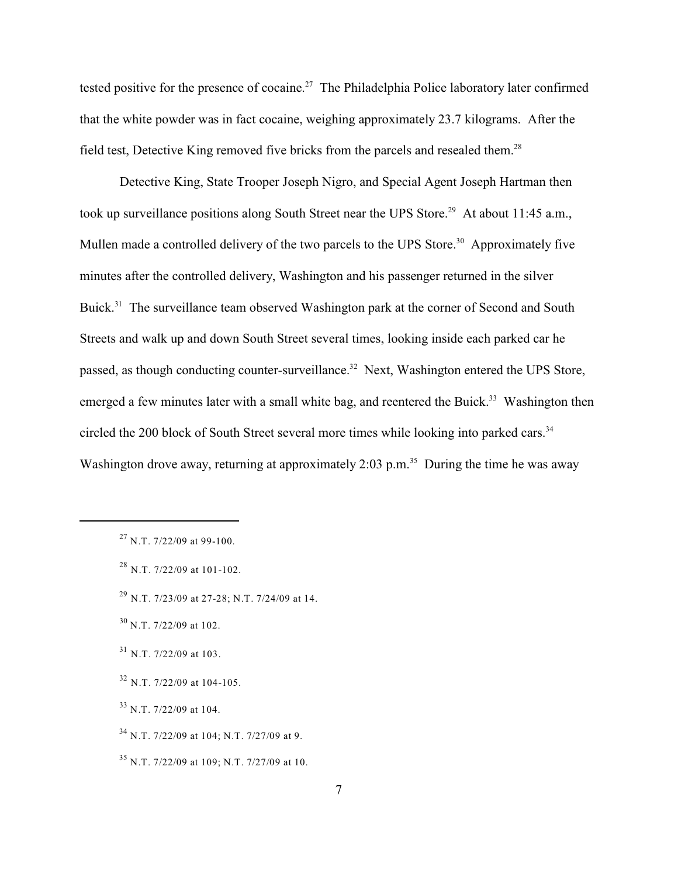tested positive for the presence of cocaine.<sup>27</sup> The Philadelphia Police laboratory later confirmed that the white powder was in fact cocaine, weighing approximately 23.7 kilograms. After the field test, Detective King removed five bricks from the parcels and resealed them.<sup>28</sup>

Detective King, State Trooper Joseph Nigro, and Special Agent Joseph Hartman then took up surveillance positions along South Street near the UPS Store.<sup>29</sup> At about 11:45 a.m., Mullen made a controlled delivery of the two parcels to the UPS Store.<sup>30</sup> Approximately five minutes after the controlled delivery, Washington and his passenger returned in the silver Buick.<sup>31</sup> The surveillance team observed Washington park at the corner of Second and South Streets and walk up and down South Street several times, looking inside each parked car he passed, as though conducting counter-surveillance.<sup>32</sup> Next, Washington entered the UPS Store, emerged a few minutes later with a small white bag, and reentered the Buick.<sup>33</sup> Washington then circled the 200 block of South Street several more times while looking into parked cars.<sup>34</sup> Washington drove away, returning at approximately 2:03 p.m.<sup>35</sup> During the time he was away

 $32$  N.T. 7/22/09 at 104-105.

 $^{27}$  N.T. 7/22/09 at 99-100.

 $^{28}$  N.T. 7/22/09 at 101-102.

 $^{29}$  N.T. 7/23/09 at 27-28; N.T. 7/24/09 at 14.

 $30$  N.T. 7/22/09 at 102.

 $31$  N.T. 7/22/09 at 103.

 $33$  N.T. 7/22/09 at 104.

 $34$  N.T. 7/22/09 at 104; N.T. 7/27/09 at 9.

 $35$  N.T. 7/22/09 at 109; N.T. 7/27/09 at 10.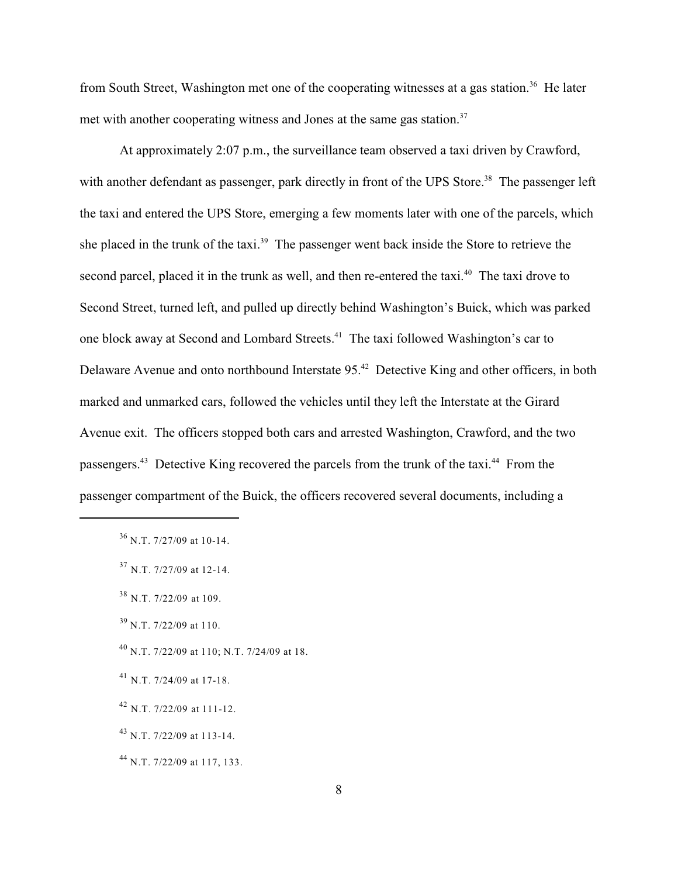from South Street, Washington met one of the cooperating witnesses at a gas station.<sup>36</sup> He later met with another cooperating witness and Jones at the same gas station.<sup>37</sup>

At approximately 2:07 p.m., the surveillance team observed a taxi driven by Crawford, with another defendant as passenger, park directly in front of the UPS Store.<sup>38</sup> The passenger left the taxi and entered the UPS Store, emerging a few moments later with one of the parcels, which she placed in the trunk of the taxi.<sup>39</sup> The passenger went back inside the Store to retrieve the second parcel, placed it in the trunk as well, and then re-entered the taxi.<sup>40</sup> The taxi drove to Second Street, turned left, and pulled up directly behind Washington's Buick, which was parked one block away at Second and Lombard Streets.<sup>41</sup> The taxi followed Washington's car to Delaware Avenue and onto northbound Interstate 95.<sup>42</sup> Detective King and other officers, in both marked and unmarked cars, followed the vehicles until they left the Interstate at the Girard Avenue exit. The officers stopped both cars and arrested Washington, Crawford, and the two passengers.<sup>43</sup> Detective King recovered the parcels from the trunk of the taxi.<sup>44</sup> From the passenger compartment of the Buick, the officers recovered several documents, including a

- $^{40}$  N.T. 7/22/09 at 110; N.T. 7/24/09 at 18.
- $^{41}$  N.T. 7/24/09 at 17-18.
- $^{42}$  N.T. 7/22/09 at 111-12.
- $^{43}$  N.T. 7/22/09 at 113-14.
- $^{44}$  N.T. 7/22/09 at 117, 133.

 $36$  N.T. 7/27/09 at 10-14.

 $37$  N.T. 7/27/09 at 12-14.

 $38$  N.T. 7/22/09 at 109.

 $39$  N.T. 7/22/09 at 110.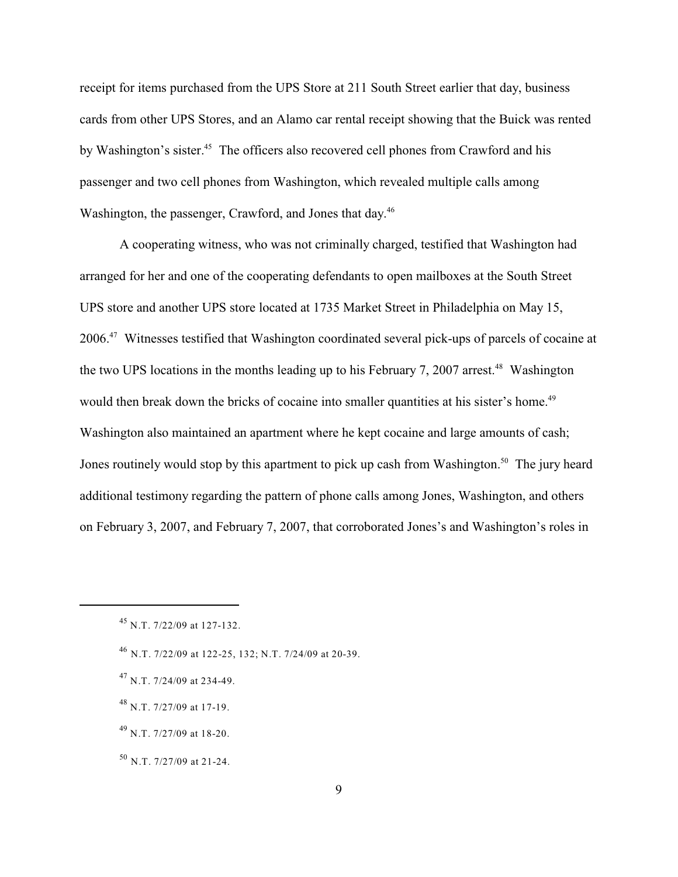receipt for items purchased from the UPS Store at 211 South Street earlier that day, business cards from other UPS Stores, and an Alamo car rental receipt showing that the Buick was rented by Washington's sister.<sup>45</sup> The officers also recovered cell phones from Crawford and his passenger and two cell phones from Washington, which revealed multiple calls among Washington, the passenger, Crawford, and Jones that day.<sup>46</sup>

A cooperating witness, who was not criminally charged, testified that Washington had arranged for her and one of the cooperating defendants to open mailboxes at the South Street UPS store and another UPS store located at 1735 Market Street in Philadelphia on May 15, 2006.<sup>47</sup> Witnesses testified that Washington coordinated several pick-ups of parcels of cocaine at the two UPS locations in the months leading up to his February 7, 2007 arrest.<sup>48</sup> Washington would then break down the bricks of cocaine into smaller quantities at his sister's home.<sup>49</sup> Washington also maintained an apartment where he kept cocaine and large amounts of cash; Jones routinely would stop by this apartment to pick up cash from Washington.<sup>50</sup> The jury heard additional testimony regarding the pattern of phone calls among Jones, Washington, and others on February 3, 2007, and February 7, 2007, that corroborated Jones's and Washington's roles in

- $^{47}$  N.T. 7/24/09 at 234-49.
- $^{48}$  N.T. 7/27/09 at 17-19.
- $^{49}$  N.T. 7/27/09 at 18-20.
- $50$  N.T. 7/27/09 at 21-24.

 $^{45}$  N.T. 7/22/09 at 127-132.

 $^{46}$  N.T. 7/22/09 at 122-25, 132; N.T. 7/24/09 at 20-39.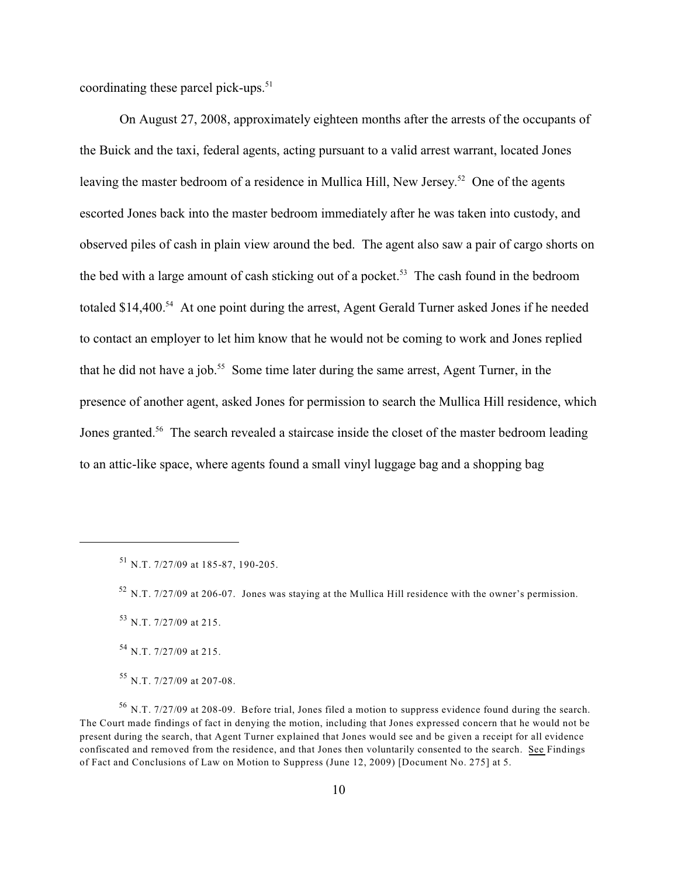coordinating these parcel pick-ups. $51$ 

On August 27, 2008, approximately eighteen months after the arrests of the occupants of the Buick and the taxi, federal agents, acting pursuant to a valid arrest warrant, located Jones leaving the master bedroom of a residence in Mullica Hill, New Jersey.<sup>52</sup> One of the agents escorted Jones back into the master bedroom immediately after he was taken into custody, and observed piles of cash in plain view around the bed. The agent also saw a pair of cargo shorts on the bed with a large amount of cash sticking out of a pocket.<sup>53</sup> The cash found in the bedroom totaled  $$14,400.^{54}$  At one point during the arrest, Agent Gerald Turner asked Jones if he needed to contact an employer to let him know that he would not be coming to work and Jones replied that he did not have a job.<sup>55</sup> Some time later during the same arrest, Agent Turner, in the presence of another agent, asked Jones for permission to search the Mullica Hill residence, which Jones granted.<sup>56</sup> The search revealed a staircase inside the closet of the master bedroom leading to an attic-like space, where agents found a small vinyl luggage bag and a shopping bag

 $^{51}$  N.T. 7/27/09 at 185-87, 190-205.

 $52$  N.T. 7/27/09 at 206-07. Jones was staying at the Mullica Hill residence with the owner's permission.

<sup>&</sup>lt;sup>53</sup> N.T. 7/27/09 at 215.

<sup>&</sup>lt;sup>54</sup> N.T. 7/27/09 at 215.

<sup>&</sup>lt;sup>55</sup> N.T. 7/27/09 at 207-08.

 $^{56}$  N.T. 7/27/09 at 208-09. Before trial, Jones filed a motion to suppress evidence found during the search. The Court made findings of fact in denying the motion, including that Jones expressed concern that he would not be present during the search, that Agent Turner explained that Jones would see and be given a receipt for all evidence confiscated and removed from the residence, and that Jones then voluntarily consented to the search. See Findings of Fact and Conclusions of Law on Motion to Suppress (June 12, 2009) [Document No. 275] at 5.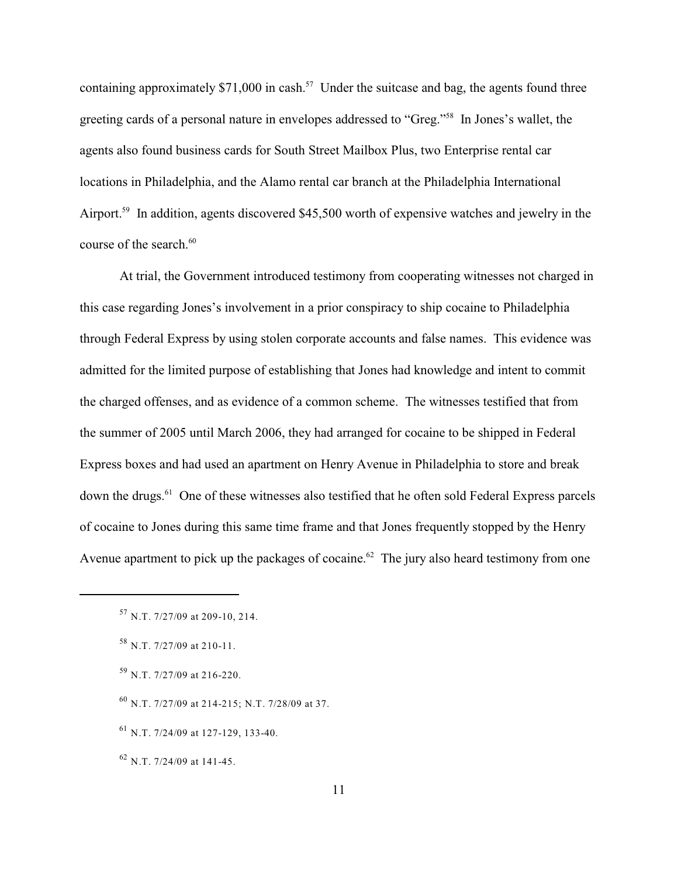containing approximately \$71,000 in cash.<sup>57</sup> Under the suitcase and bag, the agents found three greeting cards of a personal nature in envelopes addressed to "Greg."<sup>58</sup> In Jones's wallet, the agents also found business cards for South Street Mailbox Plus, two Enterprise rental car locations in Philadelphia, and the Alamo rental car branch at the Philadelphia International Airport.<sup>59</sup> In addition, agents discovered \$45,500 worth of expensive watches and jewelry in the course of the search. 60

At trial, the Government introduced testimony from cooperating witnesses not charged in this case regarding Jones's involvement in a prior conspiracy to ship cocaine to Philadelphia through Federal Express by using stolen corporate accounts and false names. This evidence was admitted for the limited purpose of establishing that Jones had knowledge and intent to commit the charged offenses, and as evidence of a common scheme. The witnesses testified that from the summer of 2005 until March 2006, they had arranged for cocaine to be shipped in Federal Express boxes and had used an apartment on Henry Avenue in Philadelphia to store and break down the drugs.<sup>61</sup> One of these witnesses also testified that he often sold Federal Express parcels of cocaine to Jones during this same time frame and that Jones frequently stopped by the Henry Avenue apartment to pick up the packages of cocaine.<sup> $62$ </sup> The jury also heard testimony from one

- $^{59}$  N.T. 7/27/09 at 216-220.
- $^{60}$  N.T. 7/27/09 at 214-215; N.T. 7/28/09 at 37.
- $^{61}$  N.T. 7/24/09 at 127-129, 133-40.

 $^{62}$  N.T. 7/24/09 at 141-45.

 $57$  N.T. 7/27/09 at 209-10, 214.

 $58$  N.T. 7/27/09 at 210-11.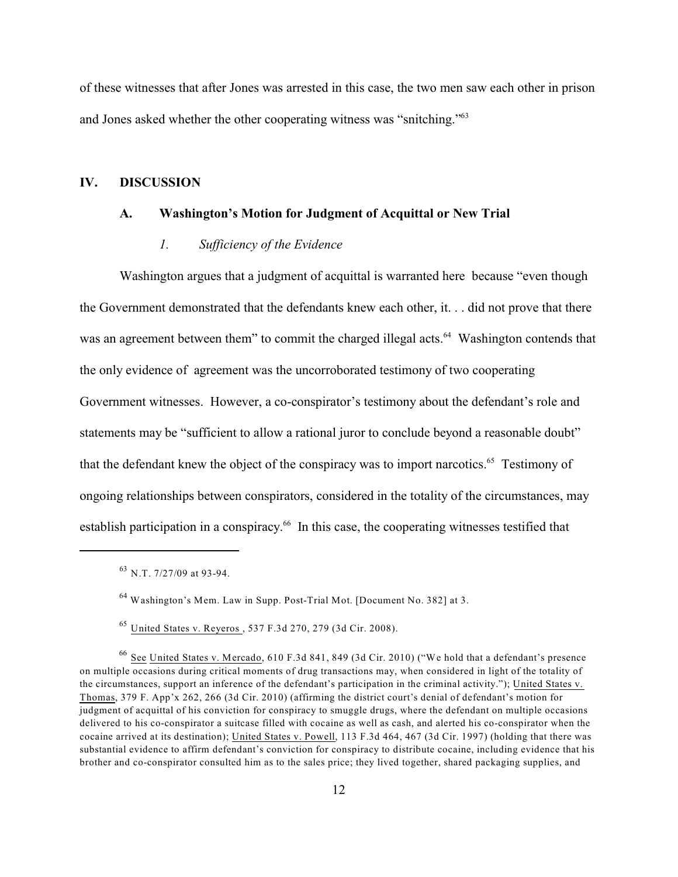of these witnesses that after Jones was arrested in this case, the two men saw each other in prison and Jones asked whether the other cooperating witness was "snitching."<sup>63</sup>

#### **IV. DISCUSSION**

# **A. Washington's Motion for Judgment of Acquittal or New Trial**

#### *1. Sufficiency of the Evidence*

Washington argues that a judgment of acquittal is warranted here because "even though the Government demonstrated that the defendants knew each other, it. . . did not prove that there was an agreement between them" to commit the charged illegal acts.<sup>64</sup> Washington contends that the only evidence of agreement was the uncorroborated testimony of two cooperating Government witnesses. However, a co-conspirator's testimony about the defendant's role and statements may be "sufficient to allow a rational juror to conclude beyond a reasonable doubt" that the defendant knew the object of the conspiracy was to import narcotics.<sup> $65$ </sup> Testimony of ongoing relationships between conspirators, considered in the totality of the circumstances, may establish participation in a conspiracy.<sup>66</sup> In this case, the cooperating witnesses testified that

 $^{63}$  N.T. 7/27/09 at 93-94.

<sup>&</sup>lt;sup>64</sup> Washington's Mem. Law in Supp. Post-Trial Mot. [Document No. 382] at 3.

<sup>&</sup>lt;sup>65</sup> United States v. Reyeros , 537 F.3d 270, 279 (3d Cir. 2008).

 $66$  See United States v. Mercado, 610 F.3d 841, 849 (3d Cir. 2010) ("We hold that a defendant's presence on multiple occasions during critical moments of drug transactions may, when considered in light of the totality of the circumstances, support an inference of the defendant's participation in the criminal activity."); United States v. Thomas, 379 F. App'x 262, 266 (3d Cir. 2010) (affirming the district court's denial of defendant's motion for judgment of acquittal of his conviction for conspiracy to smuggle drugs, where the defendant on multiple occasions delivered to his co-conspirator a suitcase filled with cocaine as well as cash, and alerted his co-conspirator when the cocaine arrived at its destination); United States v. Powell, 113 F.3d 464, 467 (3d Cir. 1997) (holding that there was substantial evidence to affirm defendant's conviction for conspiracy to distribute cocaine, including evidence that his brother and co-conspirator consulted him as to the sales price; they lived together, shared packaging supplies, and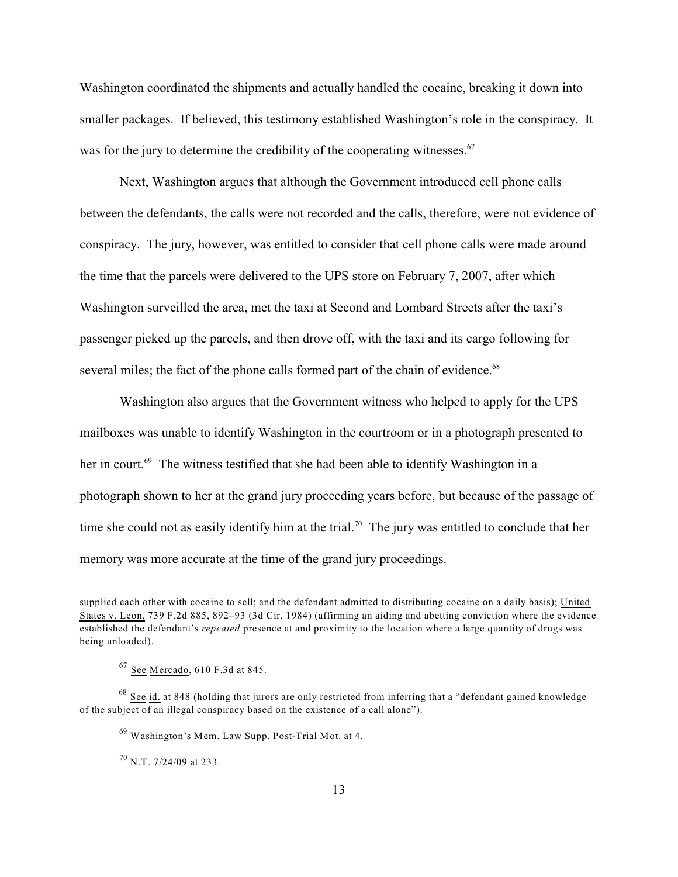Washington coordinated the shipments and actually handled the cocaine, breaking it down into smaller packages. If believed, this testimony established Washington's role in the conspiracy. It was for the jury to determine the credibility of the cooperating witnesses. $67$ 

Next, Washington argues that although the Government introduced cell phone calls between the defendants, the calls were not recorded and the calls, therefore, were not evidence of conspiracy. The jury, however, was entitled to consider that cell phone calls were made around the time that the parcels were delivered to the UPS store on February 7, 2007, after which Washington surveilled the area, met the taxi at Second and Lombard Streets after the taxi's passenger picked up the parcels, and then drove off, with the taxi and its cargo following for several miles; the fact of the phone calls formed part of the chain of evidence.<sup>68</sup>

Washington also argues that the Government witness who helped to apply for the UPS mailboxes was unable to identify Washington in the courtroom or in a photograph presented to her in court.<sup>69</sup> The witness testified that she had been able to identify Washington in a photograph shown to her at the grand jury proceeding years before, but because of the passage of time she could not as easily identify him at the trial.<sup>70</sup> The jury was entitled to conclude that her memory was more accurate at the time of the grand jury proceedings.

 $^{70}$  N.T. 7/24/09 at 233.

supplied each other with cocaine to sell; and the defendant admitted to distributing cocaine on a daily basis); United States v. Leon, 739 F.2d 885, 892–93 (3d Cir. 1984) (affirming an aiding and abetting conviction where the evidence established the defendant's *repeated* presence at and proximity to the location where a large quantity of drugs was being unloaded).

 $67$  See Mercado, 610 F.3d at 845.

 $68$  See id. at 848 (holding that jurors are only restricted from inferring that a "defendant gained knowledge of the subject of an illegal conspiracy based on the existence of a call alone").

<sup>&</sup>lt;sup>69</sup> Washington's Mem. Law Supp. Post-Trial Mot. at 4.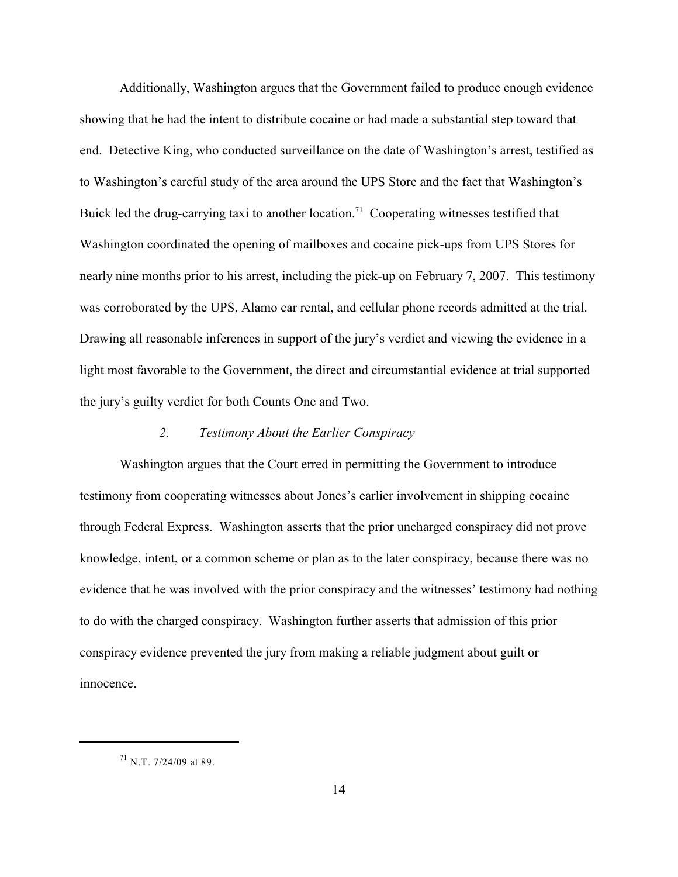Additionally, Washington argues that the Government failed to produce enough evidence showing that he had the intent to distribute cocaine or had made a substantial step toward that end. Detective King, who conducted surveillance on the date of Washington's arrest, testified as to Washington's careful study of the area around the UPS Store and the fact that Washington's Buick led the drug-carrying taxi to another location.<sup>71</sup> Cooperating witnesses testified that Washington coordinated the opening of mailboxes and cocaine pick-ups from UPS Stores for nearly nine months prior to his arrest, including the pick-up on February 7, 2007. This testimony was corroborated by the UPS, Alamo car rental, and cellular phone records admitted at the trial. Drawing all reasonable inferences in support of the jury's verdict and viewing the evidence in a light most favorable to the Government, the direct and circumstantial evidence at trial supported the jury's guilty verdict for both Counts One and Two.

## *2. Testimony About the Earlier Conspiracy*

Washington argues that the Court erred in permitting the Government to introduce testimony from cooperating witnesses about Jones's earlier involvement in shipping cocaine through Federal Express. Washington asserts that the prior uncharged conspiracy did not prove knowledge, intent, or a common scheme or plan as to the later conspiracy, because there was no evidence that he was involved with the prior conspiracy and the witnesses' testimony had nothing to do with the charged conspiracy. Washington further asserts that admission of this prior conspiracy evidence prevented the jury from making a reliable judgment about guilt or innocence.

 $^{71}$  N.T. 7/24/09 at 89.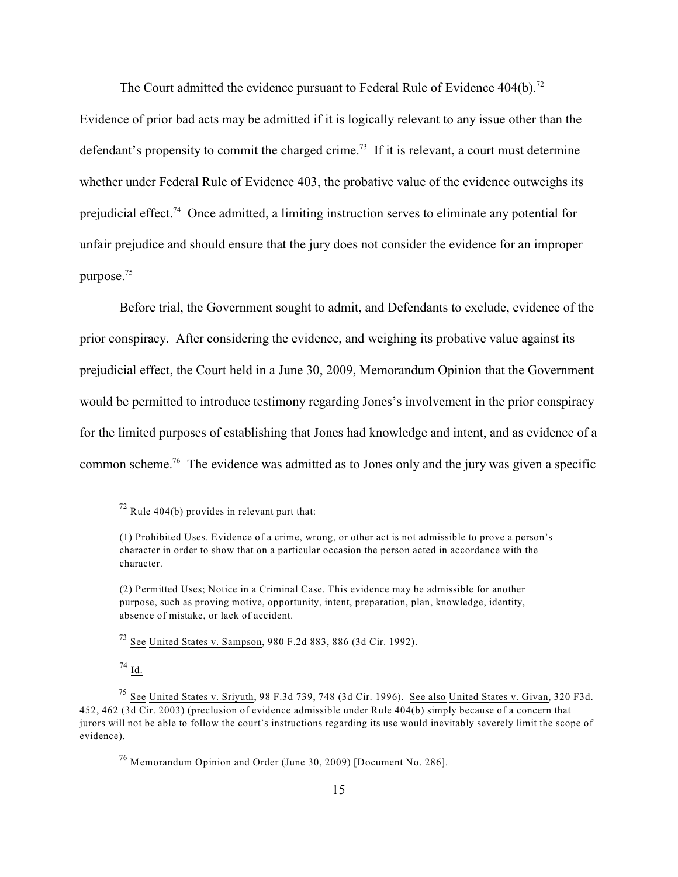The Court admitted the evidence pursuant to Federal Rule of Evidence  $404(b)$ <sup>72</sup>

Evidence of prior bad acts may be admitted if it is logically relevant to any issue other than the defendant's propensity to commit the charged crime.<sup>73</sup> If it is relevant, a court must determine whether under Federal Rule of Evidence 403, the probative value of the evidence outweighs its prejudicial effect.<sup>74</sup> Once admitted, a limiting instruction serves to eliminate any potential for unfair prejudice and should ensure that the jury does not consider the evidence for an improper purpose.<sup>75</sup>

Before trial, the Government sought to admit, and Defendants to exclude, evidence of the prior conspiracy. After considering the evidence, and weighing its probative value against its prejudicial effect, the Court held in a June 30, 2009, Memorandum Opinion that the Government would be permitted to introduce testimony regarding Jones's involvement in the prior conspiracy for the limited purposes of establishing that Jones had knowledge and intent, and as evidence of a common scheme.<sup>76</sup> The evidence was admitted as to Jones only and the jury was given a specific

 $^{73}$  See United States v. Sampson, 980 F.2d 883, 886 (3d Cir. 1992).

 $^{74}$  Id.

 $72$  Rule 404(b) provides in relevant part that:

<sup>(1)</sup> Prohibited Uses. Evidence of a crime, wrong, or other act is not admissible to prove a person's character in order to show that on a particular occasion the person acted in accordance with the character.

<sup>(2)</sup> Permitted Uses; Notice in a Criminal Case. This evidence may be admissible for another purpose, such as proving motive, opportunity, intent, preparation, plan, knowledge, identity, absence of mistake, or lack of accident.

<sup>&</sup>lt;sup>75</sup> See United States v. Sriyuth, 98 F.3d 739, 748 (3d Cir. 1996). See also United States v. Givan, 320 F3d. 452, 462 (3d Cir. 2003) (preclusion of evidence admissible under Rule 404(b) simply because of a concern that jurors will not be able to follow the court's instructions regarding its use would inevitably severely limit the scope of evidence).

 $^{76}$  Memorandum Opinion and Order (June 30, 2009) [Document No. 286].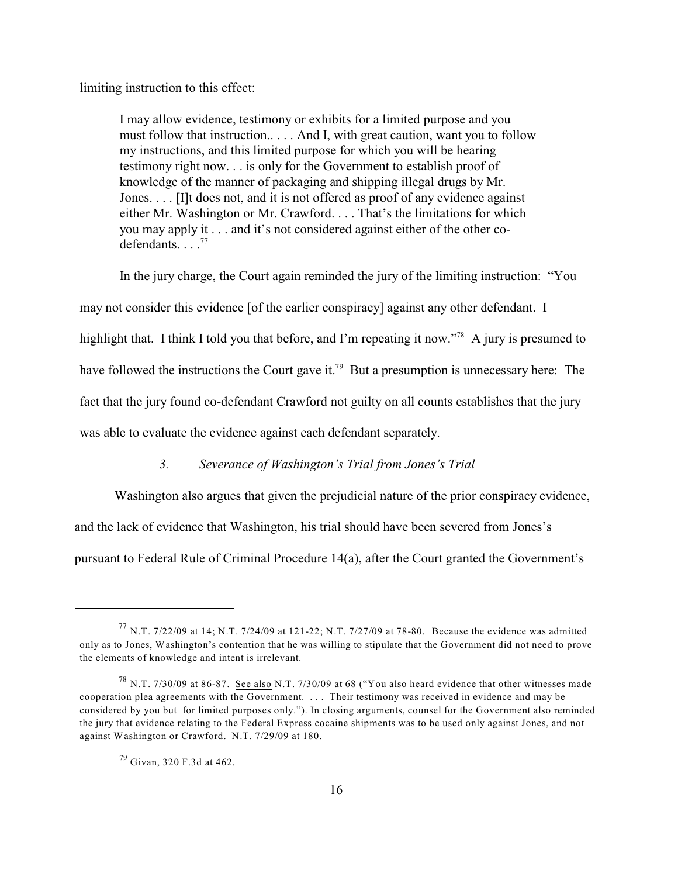limiting instruction to this effect:

I may allow evidence, testimony or exhibits for a limited purpose and you must follow that instruction.. . . . And I, with great caution, want you to follow my instructions, and this limited purpose for which you will be hearing testimony right now. . . is only for the Government to establish proof of knowledge of the manner of packaging and shipping illegal drugs by Mr. Jones. . . . [I]t does not, and it is not offered as proof of any evidence against either Mr. Washington or Mr. Crawford. . . . That's the limitations for which you may apply it . . . and it's not considered against either of the other codefendants.  $\ldots$ <sup>77</sup>

In the jury charge, the Court again reminded the jury of the limiting instruction: "You may not consider this evidence [of the earlier conspiracy] against any other defendant. I highlight that. I think I told you that before, and I'm repeating it now."<sup>78</sup> A jury is presumed to have followed the instructions the Court gave it.<sup>79</sup> But a presumption is unnecessary here: The fact that the jury found co-defendant Crawford not guilty on all counts establishes that the jury was able to evaluate the evidence against each defendant separately.

## *3. Severance of Washington's Trial from Jones's Trial*

Washington also argues that given the prejudicial nature of the prior conspiracy evidence, and the lack of evidence that Washington, his trial should have been severed from Jones's pursuant to Federal Rule of Criminal Procedure 14(a), after the Court granted the Government's

 $^{77}$  N.T. 7/22/09 at 14; N.T. 7/24/09 at 121-22; N.T. 7/27/09 at 78-80. Because the evidence was admitted only as to Jones, Washington's contention that he was willing to stipulate that the Government did not need to prove the elements of knowledge and intent is irrelevant.

<sup>&</sup>lt;sup>78</sup> N.T. 7/30/09 at 86-87. See also N.T. 7/30/09 at 68 ("You also heard evidence that other witnesses made cooperation plea agreements with the Government. . . . Their testimony was received in evidence and may be considered by you but for limited purposes only."). In closing arguments, counsel for the Government also reminded the jury that evidence relating to the Federal Express cocaine shipments was to be used only against Jones, and not against Washington or Crawford. N.T. 7/29/09 at 180.

<sup>&</sup>lt;sup>79</sup> Givan, 320 F.3d at 462.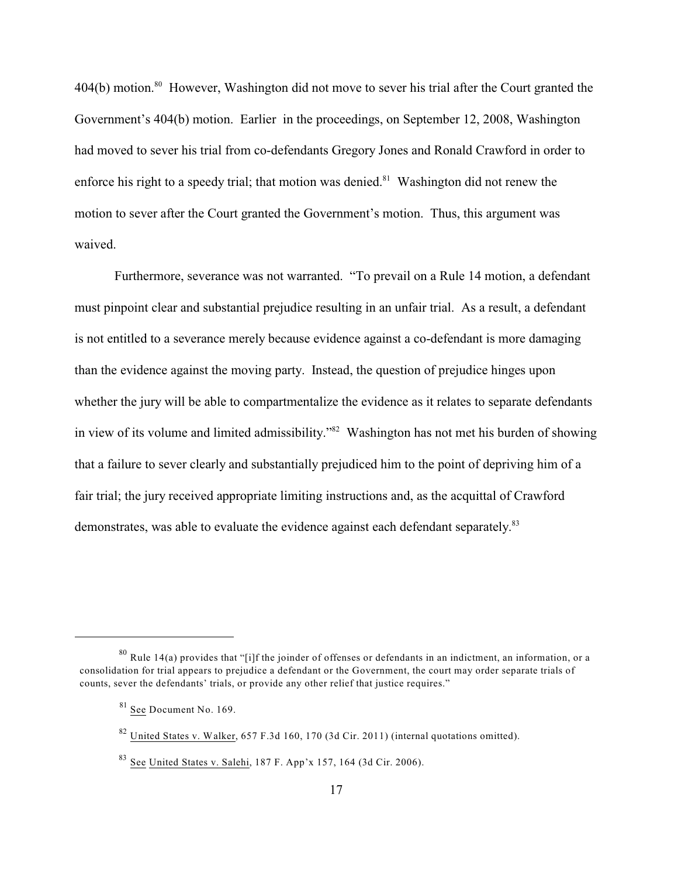$404(b)$  motion.<sup>80</sup> However, Washington did not move to sever his trial after the Court granted the Government's 404(b) motion. Earlier in the proceedings, on September 12, 2008, Washington had moved to sever his trial from co-defendants Gregory Jones and Ronald Crawford in order to enforce his right to a speedy trial; that motion was denied. $81$  Washington did not renew the motion to sever after the Court granted the Government's motion. Thus, this argument was waived.

Furthermore, severance was not warranted. "To prevail on a Rule 14 motion, a defendant must pinpoint clear and substantial prejudice resulting in an unfair trial. As a result, a defendant is not entitled to a severance merely because evidence against a co-defendant is more damaging than the evidence against the moving party. Instead, the question of prejudice hinges upon whether the jury will be able to compartmentalize the evidence as it relates to separate defendants in view of its volume and limited admissibility." $82$  Washington has not met his burden of showing that a failure to sever clearly and substantially prejudiced him to the point of depriving him of a fair trial; the jury received appropriate limiting instructions and, as the acquittal of Crawford demonstrates, was able to evaluate the evidence against each defendant separately.<sup>83</sup>

 $80$  Rule 14(a) provides that "[i]f the joinder of offenses or defendants in an indictment, an information, or a consolidation for trial appears to prejudice a defendant or the Government, the court may order separate trials of counts, sever the defendants' trials, or provide any other relief that justice requires."

 $81$  See Document No. 169.

 $82$  United States v. Walker, 657 F.3d 160, 170 (3d Cir. 2011) (internal quotations omitted).

 $83$  See United States v. Salehi, 187 F. App'x 157, 164 (3d Cir. 2006).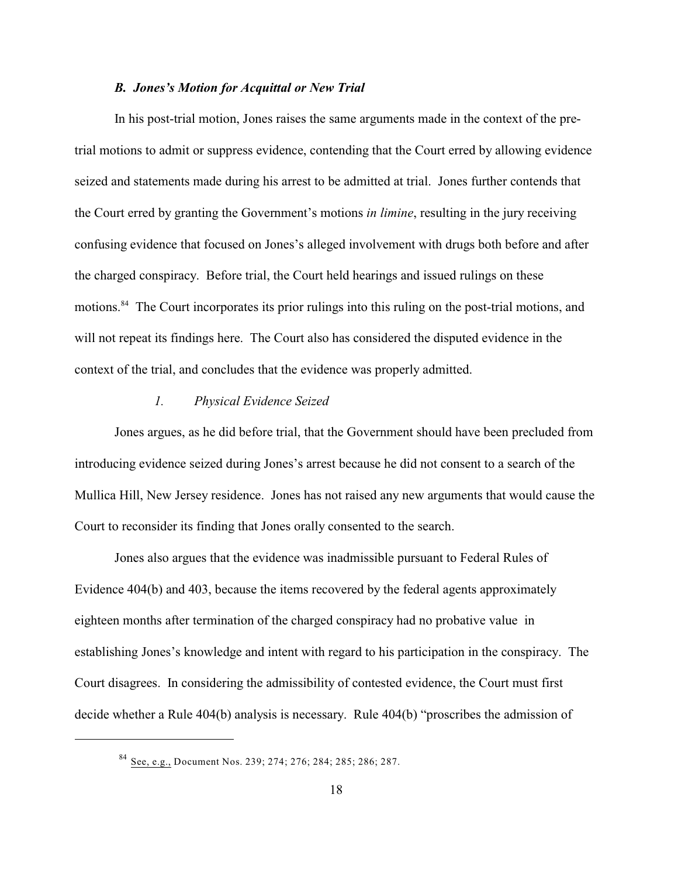#### *B. Jones's Motion for Acquittal or New Trial*

In his post-trial motion, Jones raises the same arguments made in the context of the pretrial motions to admit or suppress evidence, contending that the Court erred by allowing evidence seized and statements made during his arrest to be admitted at trial. Jones further contends that the Court erred by granting the Government's motions *in limine*, resulting in the jury receiving confusing evidence that focused on Jones's alleged involvement with drugs both before and after the charged conspiracy. Before trial, the Court held hearings and issued rulings on these motions.<sup>84</sup> The Court incorporates its prior rulings into this ruling on the post-trial motions, and will not repeat its findings here. The Court also has considered the disputed evidence in the context of the trial, and concludes that the evidence was properly admitted.

#### *1. Physical Evidence Seized*

Jones argues, as he did before trial, that the Government should have been precluded from introducing evidence seized during Jones's arrest because he did not consent to a search of the Mullica Hill, New Jersey residence. Jones has not raised any new arguments that would cause the Court to reconsider its finding that Jones orally consented to the search.

Jones also argues that the evidence was inadmissible pursuant to Federal Rules of Evidence 404(b) and 403, because the items recovered by the federal agents approximately eighteen months after termination of the charged conspiracy had no probative value in establishing Jones's knowledge and intent with regard to his participation in the conspiracy. The Court disagrees. In considering the admissibility of contested evidence, the Court must first decide whether a Rule 404(b) analysis is necessary. Rule 404(b) "proscribes the admission of

<sup>&</sup>lt;sup>84</sup> See, e.g., Document Nos. 239; 274; 276; 284; 285; 286; 287.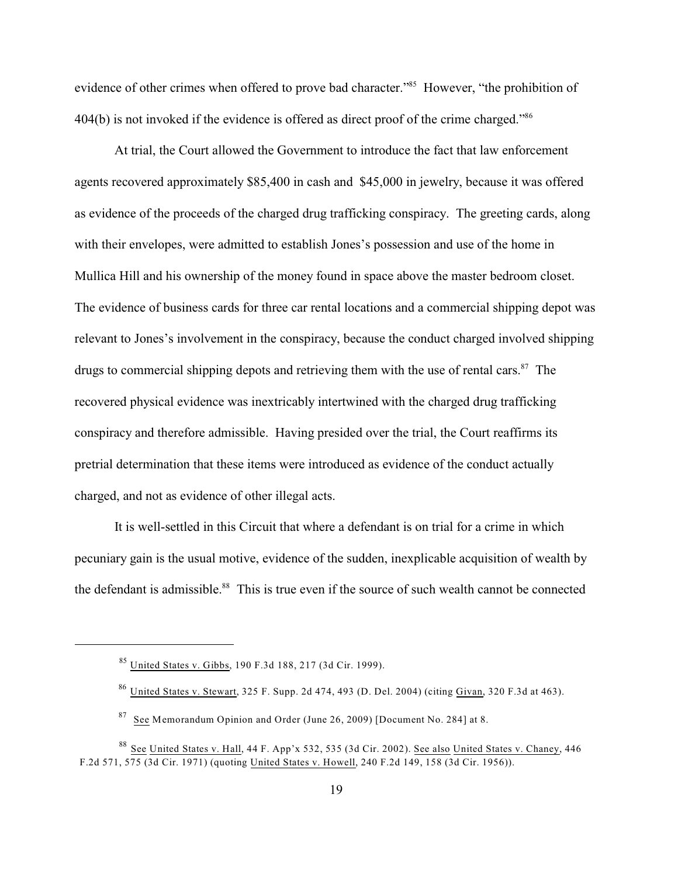evidence of other crimes when offered to prove bad character."<sup>85</sup> However, "the prohibition of 404(b) is not invoked if the evidence is offered as direct proof of the crime charged."<sup>86</sup>

At trial, the Court allowed the Government to introduce the fact that law enforcement agents recovered approximately \$85,400 in cash and \$45,000 in jewelry, because it was offered as evidence of the proceeds of the charged drug trafficking conspiracy. The greeting cards, along with their envelopes, were admitted to establish Jones's possession and use of the home in Mullica Hill and his ownership of the money found in space above the master bedroom closet. The evidence of business cards for three car rental locations and a commercial shipping depot was relevant to Jones's involvement in the conspiracy, because the conduct charged involved shipping drugs to commercial shipping depots and retrieving them with the use of rental cars. $87$  The recovered physical evidence was inextricably intertwined with the charged drug trafficking conspiracy and therefore admissible. Having presided over the trial, the Court reaffirms its pretrial determination that these items were introduced as evidence of the conduct actually charged, and not as evidence of other illegal acts.

It is well-settled in this Circuit that where a defendant is on trial for a crime in which pecuniary gain is the usual motive, evidence of the sudden, inexplicable acquisition of wealth by the defendant is admissible.<sup>88</sup> This is true even if the source of such wealth cannot be connected

<sup>&</sup>lt;sup>85</sup> United States v. Gibbs, 190 F.3d 188, 217 (3d Cir. 1999).

 $^{86}$  United States v. Stewart, 325 F. Supp. 2d 474, 493 (D. Del. 2004) (citing Givan, 320 F.3d at 463).

 $87$  See Memorandum Opinion and Order (June 26, 2009) [Document No. 284] at 8.

<sup>&</sup>lt;sup>88</sup> See United States v. Hall, 44 F. App'x 532, 535 (3d Cir. 2002). See also United States v. Chaney, 446 F.2d 571, 575 (3d Cir. 1971) (quoting United States v. Howell, 240 F.2d 149, 158 (3d Cir. 1956)).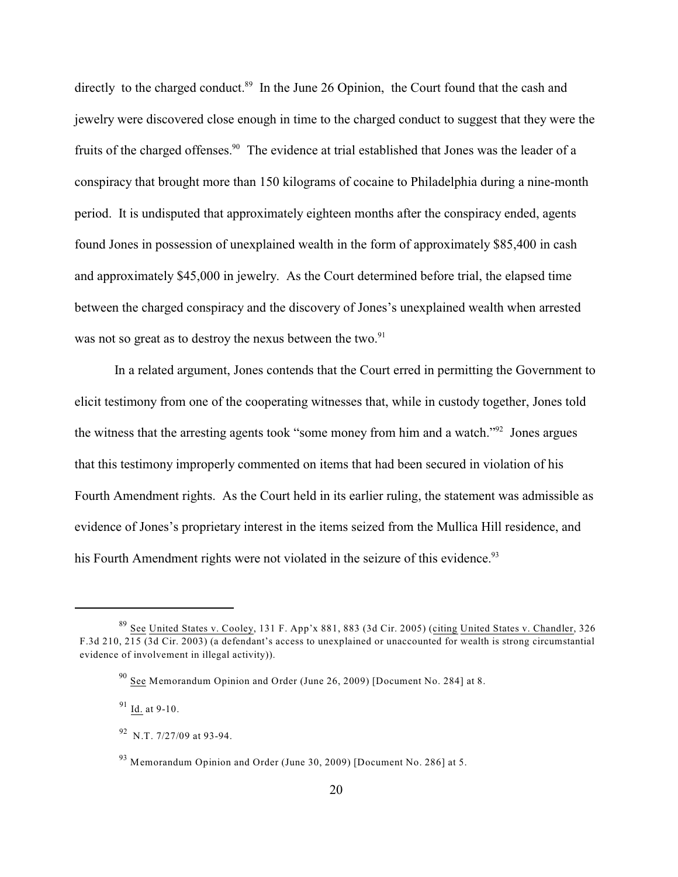directly to the charged conduct.<sup>89</sup> In the June 26 Opinion, the Court found that the cash and jewelry were discovered close enough in time to the charged conduct to suggest that they were the fruits of the charged offenses.<sup>90</sup> The evidence at trial established that Jones was the leader of a conspiracy that brought more than 150 kilograms of cocaine to Philadelphia during a nine-month period. It is undisputed that approximately eighteen months after the conspiracy ended, agents found Jones in possession of unexplained wealth in the form of approximately \$85,400 in cash and approximately \$45,000 in jewelry. As the Court determined before trial, the elapsed time between the charged conspiracy and the discovery of Jones's unexplained wealth when arrested was not so great as to destroy the nexus between the two.<sup>91</sup>

In a related argument, Jones contends that the Court erred in permitting the Government to elicit testimony from one of the cooperating witnesses that, while in custody together, Jones told the witness that the arresting agents took "some money from him and a watch." $\frac{92}{2}$  Jones argues that this testimony improperly commented on items that had been secured in violation of his Fourth Amendment rights. As the Court held in its earlier ruling, the statement was admissible as evidence of Jones's proprietary interest in the items seized from the Mullica Hill residence, and his Fourth Amendment rights were not violated in the seizure of this evidence.<sup>93</sup>

 $^{89}$  See United States v. Cooley, 131 F. App'x 881, 883 (3d Cir. 2005) (citing United States v. Chandler, 326 F.3d 210, 215 (3d Cir. 2003) (a defendant's access to unexplained or unaccounted for wealth is strong circumstantial evidence of involvement in illegal activity)).

 $90$  See Memorandum Opinion and Order (June 26, 2009) [Document No. 284] at 8.

 $91$  Id. at 9-10.

 $92$  N.T. 7/27/09 at 93-94.

 $93$  Memorandum Opinion and Order (June 30, 2009) [Document No. 286] at 5.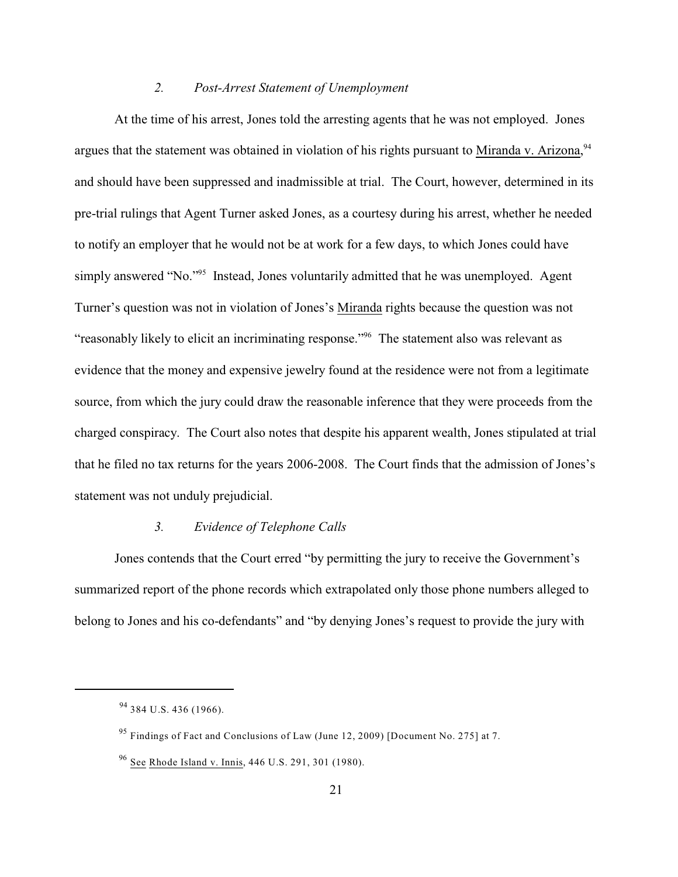#### *2. Post-Arrest Statement of Unemployment*

At the time of his arrest, Jones told the arresting agents that he was not employed. Jones argues that the statement was obtained in violation of his rights pursuant to Miranda v. Arizona,<sup>94</sup> and should have been suppressed and inadmissible at trial. The Court, however, determined in its pre-trial rulings that Agent Turner asked Jones, as a courtesy during his arrest, whether he needed to notify an employer that he would not be at work for a few days, to which Jones could have simply answered "No."<sup> $95$ </sup> Instead, Jones voluntarily admitted that he was unemployed. Agent Turner's question was not in violation of Jones's Miranda rights because the question was not "reasonably likely to elicit an incriminating response."<sup>96</sup> The statement also was relevant as evidence that the money and expensive jewelry found at the residence were not from a legitimate source, from which the jury could draw the reasonable inference that they were proceeds from the charged conspiracy. The Court also notes that despite his apparent wealth, Jones stipulated at trial that he filed no tax returns for the years 2006-2008. The Court finds that the admission of Jones's statement was not unduly prejudicial.

#### *3. Evidence of Telephone Calls*

Jones contends that the Court erred "by permitting the jury to receive the Government's summarized report of the phone records which extrapolated only those phone numbers alleged to belong to Jones and his co-defendants" and "by denying Jones's request to provide the jury with

<sup>&</sup>lt;sup>94</sup> 384 U.S. 436 (1966).

 $95$  Findings of Fact and Conclusions of Law (June 12, 2009) [Document No. 275] at 7.

<sup>&</sup>lt;sup>96</sup> See Rhode Island v. Innis, 446 U.S. 291, 301 (1980).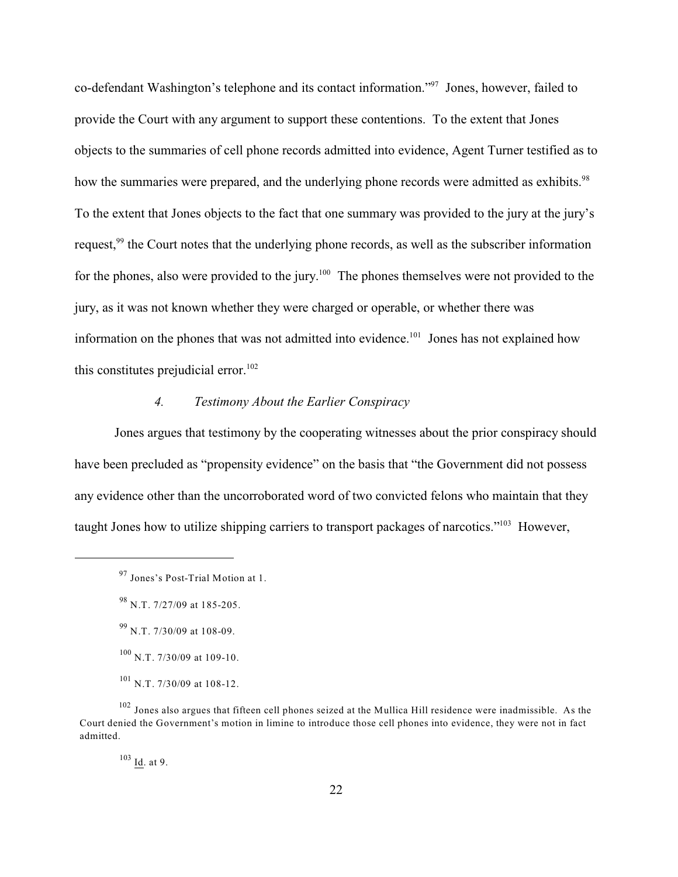co-defendant Washington's telephone and its contact information."<sup>97</sup> Jones, however, failed to provide the Court with any argument to support these contentions. To the extent that Jones objects to the summaries of cell phone records admitted into evidence, Agent Turner testified as to how the summaries were prepared, and the underlying phone records were admitted as exhibits.<sup>98</sup> To the extent that Jones objects to the fact that one summary was provided to the jury at the jury's request,<sup>99</sup> the Court notes that the underlying phone records, as well as the subscriber information for the phones, also were provided to the jury.<sup>100</sup> The phones themselves were not provided to the jury, as it was not known whether they were charged or operable, or whether there was information on the phones that was not admitted into evidence.<sup>101</sup> Jones has not explained how this constitutes prejudicial error.<sup>102</sup>

# *4. Testimony About the Earlier Conspiracy*

Jones argues that testimony by the cooperating witnesses about the prior conspiracy should have been precluded as "propensity evidence" on the basis that "the Government did not possess any evidence other than the uncorroborated word of two convicted felons who maintain that they taught Jones how to utilize shipping carriers to transport packages of narcotics."<sup>103</sup> However,

<sup>&</sup>lt;sup>97</sup> Jones's Post-Trial Motion at 1.

<sup>&</sup>lt;sup>98</sup> N.T. 7/27/09 at 185-205.

<sup>&</sup>lt;sup>99</sup> N.T. 7/30/09 at 108-09.

 $100$  N.T. 7/30/09 at 109-10.

<sup>&</sup>lt;sup>101</sup> N.T. 7/30/09 at 108-12.

<sup>&</sup>lt;sup>102</sup> Jones also argues that fifteen cell phones seized at the Mullica Hill residence were inadmissible. As the Court denied the Government's motion in limine to introduce those cell phones into evidence, they were not in fact admitted.

 $103$  <u>Id</u>. at 9.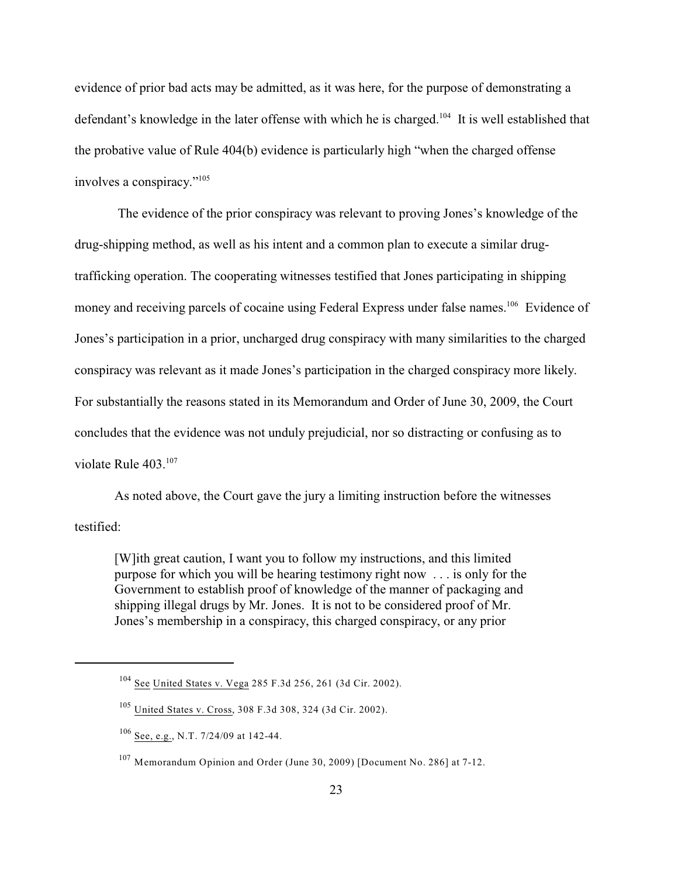evidence of prior bad acts may be admitted, as it was here, for the purpose of demonstrating a defendant's knowledge in the later offense with which he is charged.<sup>104</sup> It is well established that the probative value of Rule 404(b) evidence is particularly high "when the charged offense involves a conspiracy."<sup>105</sup>

 The evidence of the prior conspiracy was relevant to proving Jones's knowledge of the drug-shipping method, as well as his intent and a common plan to execute a similar drugtrafficking operation. The cooperating witnesses testified that Jones participating in shipping money and receiving parcels of cocaine using Federal Express under false names.<sup>106</sup> Evidence of Jones's participation in a prior, uncharged drug conspiracy with many similarities to the charged conspiracy was relevant as it made Jones's participation in the charged conspiracy more likely. For substantially the reasons stated in its Memorandum and Order of June 30, 2009, the Court concludes that the evidence was not unduly prejudicial, nor so distracting or confusing as to violate Rule 403.<sup>107</sup>

As noted above, the Court gave the jury a limiting instruction before the witnesses testified:

[W]ith great caution, I want you to follow my instructions, and this limited purpose for which you will be hearing testimony right now . . . is only for the Government to establish proof of knowledge of the manner of packaging and shipping illegal drugs by Mr. Jones. It is not to be considered proof of Mr. Jones's membership in a conspiracy, this charged conspiracy, or any prior

<sup>&</sup>lt;sup>104</sup> See United States v. Vega 285 F.3d 256, 261 (3d Cir. 2002).

<sup>&</sup>lt;sup>105</sup> United States v. Cross, 308 F.3d 308, 324 (3d Cir. 2002).

 $106$  See, e.g., N.T. 7/24/09 at 142-44.

<sup>&</sup>lt;sup>107</sup> Memorandum Opinion and Order (June 30, 2009) [Document No. 286] at 7-12.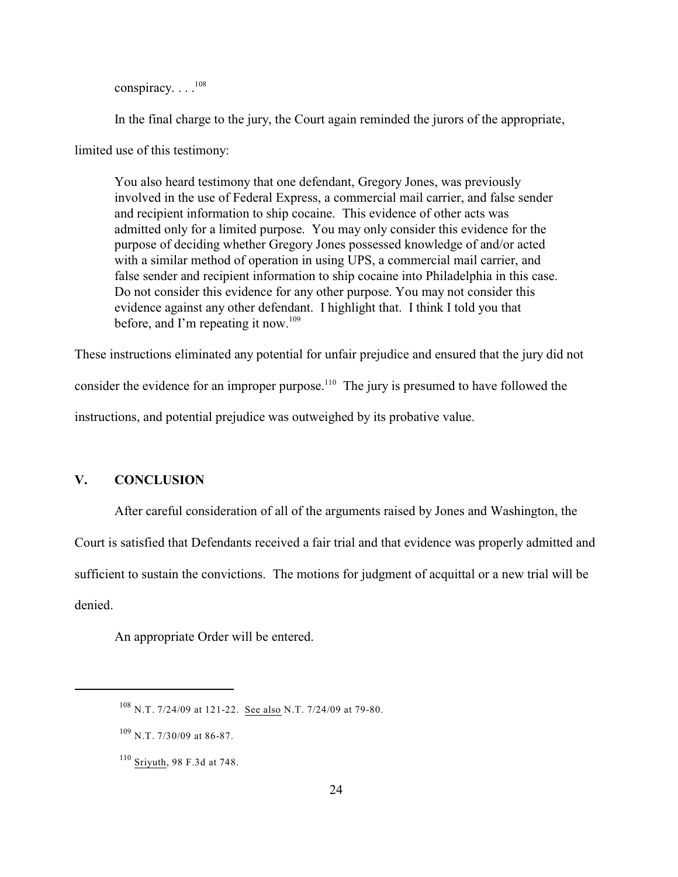conspiracy. . . . 108

In the final charge to the jury, the Court again reminded the jurors of the appropriate,

limited use of this testimony:

You also heard testimony that one defendant, Gregory Jones, was previously involved in the use of Federal Express, a commercial mail carrier, and false sender and recipient information to ship cocaine. This evidence of other acts was admitted only for a limited purpose. You may only consider this evidence for the purpose of deciding whether Gregory Jones possessed knowledge of and/or acted with a similar method of operation in using UPS, a commercial mail carrier, and false sender and recipient information to ship cocaine into Philadelphia in this case. Do not consider this evidence for any other purpose. You may not consider this evidence against any other defendant. I highlight that. I think I told you that before, and I'm repeating it now.<sup>109</sup>

These instructions eliminated any potential for unfair prejudice and ensured that the jury did not consider the evidence for an improper purpose.<sup>110</sup> The jury is presumed to have followed the instructions, and potential prejudice was outweighed by its probative value.

## **V. CONCLUSION**

After careful consideration of all of the arguments raised by Jones and Washington, the

Court is satisfied that Defendants received a fair trial and that evidence was properly admitted and

sufficient to sustain the convictions. The motions for judgment of acquittal or a new trial will be

denied.

An appropriate Order will be entered.

 $108$  N.T. 7/24/09 at 121-22. See also N.T. 7/24/09 at 79-80.

N.T. 7/30/09 at 86-87. 109

<sup>&</sup>lt;sup>110</sup> Sriyuth, 98 F.3d at 748.